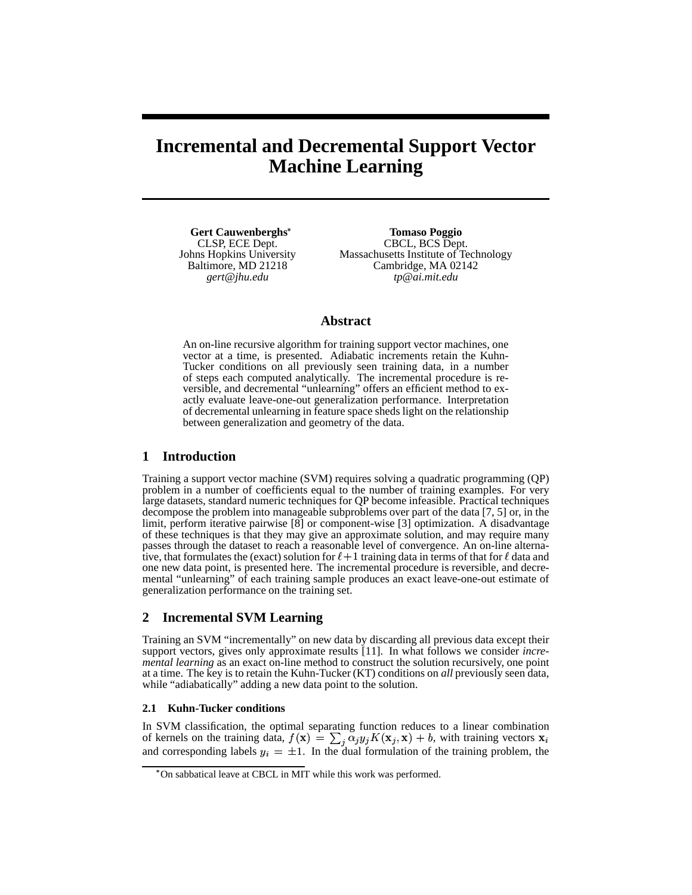# **Incremental and Decremental Support Vector Machine Learning**

**Gert Cauwenberghs** CLSP, ECE Dept. Johns Hopkins University Baltimore, MD 21218 *gert@jhu.edu*

**Tomaso Poggio** CBCL, BCS Dept. Massachusetts Institute of Technology Cambridge, MA 02142 *tp@ai.mit.edu*

## **Abstract**

An on-line recursive algorithm for training support vector machines, one vector at a time, is presented. Adiabatic increments retain the Kuhn-Tucker conditions on all previously seen training data, in a number of steps each computed analytically. The incremental procedure is reversible, and decremental "unlearning" offers an efficient method to exactly evaluate leave-one-out generalization performance. Interpretation of decremental unlearning in feature space sheds light on the relationship between generalization and geometry of the data.

# **1 Introduction**

Training a support vector machine (SVM) requires solving a quadratic programming (QP) problem in a number of coefficients equal to the number of training examples. For very large datasets, standard numeric techniques for QP become infeasible. Practical techniques decompose the problem into manageable subproblems over part of the data [7, 5] or, in the limit, perform iterative pairwise [8] or component-wise [3] optimization. A disadvantage of these techniques is that they may give an approximate solution, and may require many passes through the dataset to reach a reasonable level of convergence. An on-line alternative, that formulates the (exact) solution for  $\ell + 1$  training data in terms of that for  $\ell$  data and one new data point, is presented here. The incremental procedure is reversible, and decremental "unlearning" of each training sample produces an exact leave-one-out estimate of generalization performance on the training set.

# **2 Incremental SVM Learning**

Training an SVM "incrementally" on new data by discarding all previous data except their support vectors, gives only approximate results [11]. In what follows we consider *incremental learning* as an exact on-line method to construct the solution recursively, one point at a time. The key is to retain the Kuhn-Tucker (KT) conditions on *all* previously seen data, while "adiabatically" adding a new data point to the solution.

## **2.1 Kuhn-Tucker conditions**

In SVM classification, the optimal separating function reduces to a linear combination of kernels on the training data,  $f(\mathbf{x}) = \sum_i \alpha_i y_i K(\mathbf{x}_i, \mathbf{x}) + b$ , with training vectors  $\mathbf{x}_i$ and corresponding labels  $y_i = \pm 1$ . In the dual formulation of the training problem, the

<sup>&</sup>quot; On sabbatical leave at CBCL in MIT while this work was performed.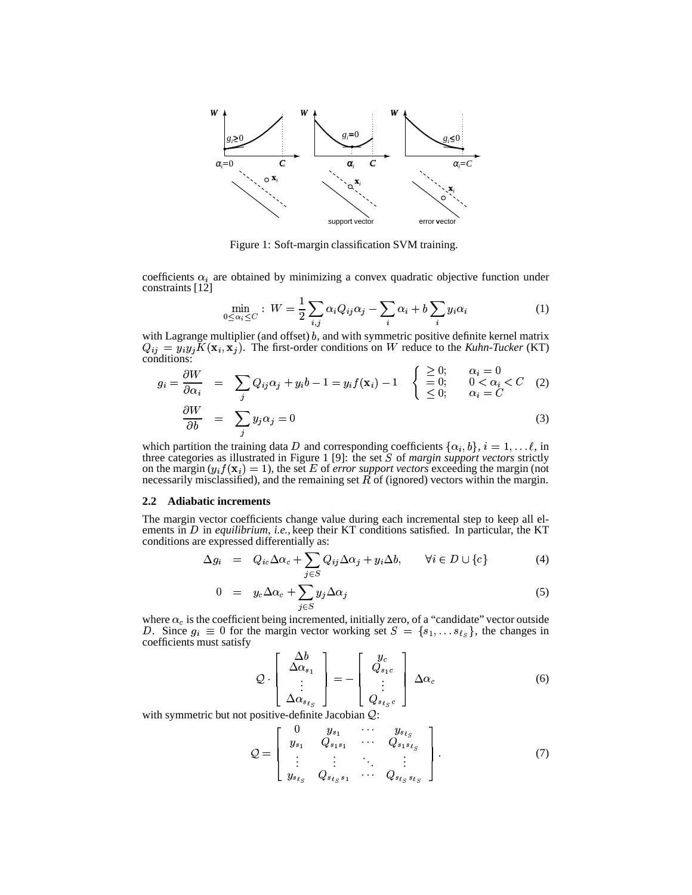

Figure 1: Soft-margin classification SVM training.

coefficients  $\alpha_i$  are obtained by minimizing a convex quadratic objective function under constraints [12]

$$
\min_{0 \le \alpha_i \le C} : W = \frac{1}{2} \sum_{i,j} \alpha_i Q_{ij} \alpha_j - \sum_i \alpha_i + b \sum_i y_i \alpha_i \tag{1}
$$

with Lagrange multiplier (and offset)  $b$ , and with symmetric positive definite kernel matrix  $Q_{ij} = y_i y_j K(\mathbf{x}_i, \mathbf{x}_j)$ . The first-order conditions on W reduce to the *Kuhn-Tucker* (KT) conditions:

$$
g_i = \frac{\partial W}{\partial \alpha_i} = \sum_j Q_{ij} \alpha_j + y_i b - 1 = y_i f(\mathbf{x}_i) - 1 \begin{cases} \geq 0; & \alpha_i = 0 \\ = 0; & 0 < \alpha_i < C \\ \leq 0; & \alpha_i = C \end{cases}
$$
 (2)

$$
\frac{\partial W}{\partial b} = \sum_{j} y_j \alpha_j = 0 \tag{3}
$$

which partition the training data D and corresponding coefficients  $\{\alpha_i, b\}$ ,  $i = 1, \dots l$ , in three categories as illustrated in Figure 1 [9]: the set  $S$  of *margin support vectors* strictly on the margin  $(y_i f(\mathbf{x}_i) = 1)$ , the set E of *error support vectors* exceeding the margin (not necessarily misclassified), and the remaining set  $R$  of (ignored) vectors within the margin.

### **2.2 Adiabatic increments**

The margin vector coefficients change value during each incremental step to keep all elements in *D* in *equilibrium*, *i.e.*, keep their KT conditions satisfied. In particular, the KT conditions are expressed differentially as: <sup>I</sup>

$$
\Delta g_i = Q_{ic} \Delta \alpha_c + \sum_{j \in S} Q_{ij} \Delta \alpha_j + y_i \Delta b, \qquad \forall i \in D \cup \{c\} \tag{4}
$$

$$
0 = y_c \Delta \alpha_c + \sum_{j \in S} y_j \Delta \alpha_j \tag{5}
$$

where  $\alpha_c$  is the coefficient being incremented, initially zero, of a "candidate" vector outside where  $\alpha_c$  is the coefficient being incremented, initially zero, of a "candidate" vector outside <br>*D*. Since  $g_i \equiv 0$  for the margin vector working set  $S = \{s_1, \dots s_{\ell_S}\}\)$ , the changes in coefficients must satisfy

$$
Q \cdot \begin{bmatrix} \Delta b \\ \Delta \alpha_{s_1} \\ \vdots \\ \Delta \alpha_{s_{\ell_S}} \end{bmatrix} = - \begin{bmatrix} y_c \\ Q_{s_1c} \\ \vdots \\ Q_{s_{\ell_S}c} \end{bmatrix} \Delta \alpha_c \tag{6}
$$
  
with symmetric but not positive-definite Jacobian Q:

$$
Q = \left[ \begin{array}{cccc} 0 & y_{s_1} & \cdots & y_{s_{\ell_S}} \\ y_{s_1} & Q_{s_1 s_1} & \cdots & Q_{s_1 s_{\ell_S}} \\ \vdots & \vdots & \ddots & \vdots \\ y_{s_{\ell_S}} & Q_{s_{\ell_S} s_1} & \cdots & Q_{s_{\ell_S} s_{\ell_S}} \end{array} \right].
$$
 (7)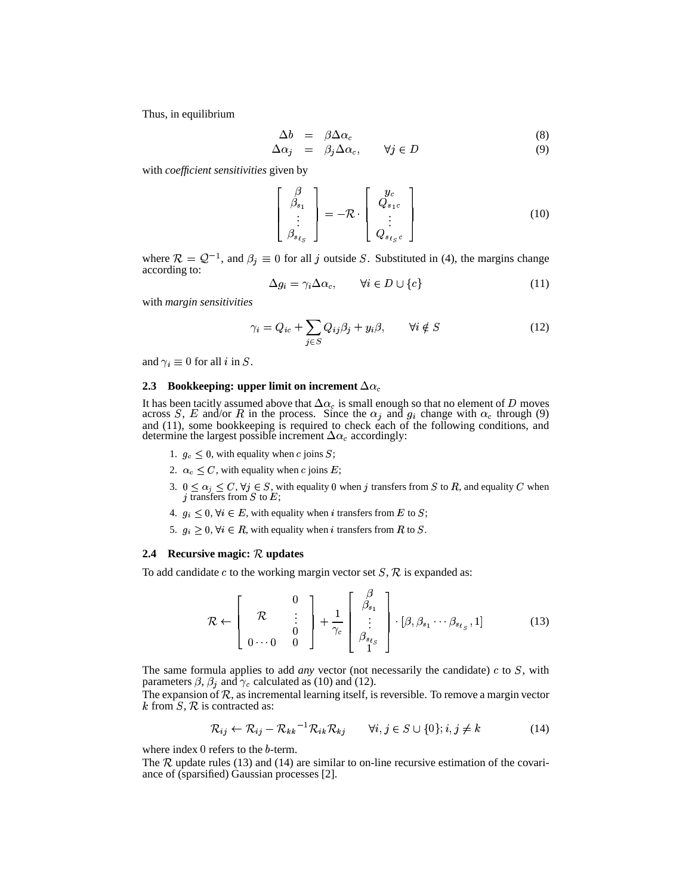Thus, in equilibrium

$$
\Delta b = \beta \Delta \alpha_c \tag{8}
$$

$$
\Delta \alpha_j = \beta_j \Delta \alpha_c, \qquad \forall j \in D \tag{9}
$$

with *coefficient sensitivities* given by

$$
\begin{bmatrix}\n\beta \\
\beta_{s_1} \\
\vdots \\
\beta_{s_{t_S}}\n\end{bmatrix} = -\mathcal{R} \cdot \begin{bmatrix}\ny_c \\
Q_{s_1c} \\
\vdots \\
Q_{s_{t_S}c}\n\end{bmatrix}
$$
\n(10)  
\nwhere  $\mathcal{R} = \mathcal{Q}^{-1}$ , and  $\beta_j \equiv 0$  for all *j* outside *S*. Substituted in (4), the margins change

according to:

$$
\Delta g_i = \gamma_i \Delta \alpha_c, \qquad \forall i \in D \cup \{c\} \tag{11}
$$

with *margin sensitivities*

$$
\gamma_i = Q_{ic} + \sum_{j \in S} Q_{ij} \beta_j + y_i \beta, \qquad \forall i \notin S \tag{12}
$$

and  $\gamma_i \equiv 0$  for all *i* in S.

#### 2.3 Bookkeeping: upper limit on increment  $\Delta\alpha_c$

It has been tacitly assumed above that  $\Delta\alpha_c$  is small enough so that no element of  $D$  moves It has been tacitly assumed above that  $\Delta \alpha_c$  is small enough so that no element of D moves across S, E and/or R in the process. Since the  $\alpha_j$  and  $g_i$  change with  $\alpha_c$  through (9) and (11), some bookkeeping is required to check each of the following conditions, and determine the largest possible increment  $\Delta \alpha_c$  accordingly:

- 1.  $g_c \leq 0$ , with equality when *c* joins *S*;
- 2.  $\alpha_c \leq C$ , with equality when *c* joins *E*;
- 3.  $0 \le \alpha_i \le C, \forall j \in S$ , with equality 0 when j transfers from S to R, and equality C when j transfers from  $S$  to  $E$ ;
- 4.  $g_i \leq 0$ ,  $\forall i \in E$ , with equality when *i* transfers from *E* to *S*;
- 5.  $g_i \geq 0$ ,  $\forall i \in R$ , with equality when *i* transfers from *R* to *S*.

#### **2.4 Recursive magic:**  $R$  **updates**

To add candidate c to the working margin vector set  $S$ ,  $R$  is expanded as:

$$
\mathcal{R} \leftarrow \left[\begin{array}{ccc} & 0 \\ \mathcal{R} & \vdots \\ 0 & 0 & 0 \end{array}\right] + \frac{1}{\gamma_c} \left[\begin{array}{c} \beta \\ \beta_{s_1} \\ \vdots \\ \beta_{s_\ell} \end{array}\right] \cdot [\beta, \beta_{s_1} \cdots \beta_{s_\ell} , 1] \tag{13}
$$

The same formula applies to add *any* vector (not necessarily the candidate)  $c$  to  $S$ , with parameters  $\beta$ ,  $\beta_i$  and  $\gamma_c$  calculated as (10) and (12).

The expansion of R, as incremental learning itself, is reversible. To remove a margin vector<br>  $k$  from S, R is contracted as:<br>  $R_{ij} \leftarrow R_{ij} - R_{kk}^{-1}R_{ik}R_{ki} \quad \forall i, j \in S \cup \{0\}; i, j \neq k$  (14) k from  $S$ ,  $R$  is contracted as:

$$
\mathcal{R}_{ij} \leftarrow \mathcal{R}_{ij} - \mathcal{R}_{kk}^{-1} \mathcal{R}_{ik} \mathcal{R}_{kj} \qquad \forall i, j \in S \cup \{0\}; i, j \neq k \tag{14}
$$

where index  $0$  refers to the  $b$ -term.

The  $R$  update rules (13) and (14) are similar to on-line recursive estimation of the covariance of (sparsified) Gaussian processes [2].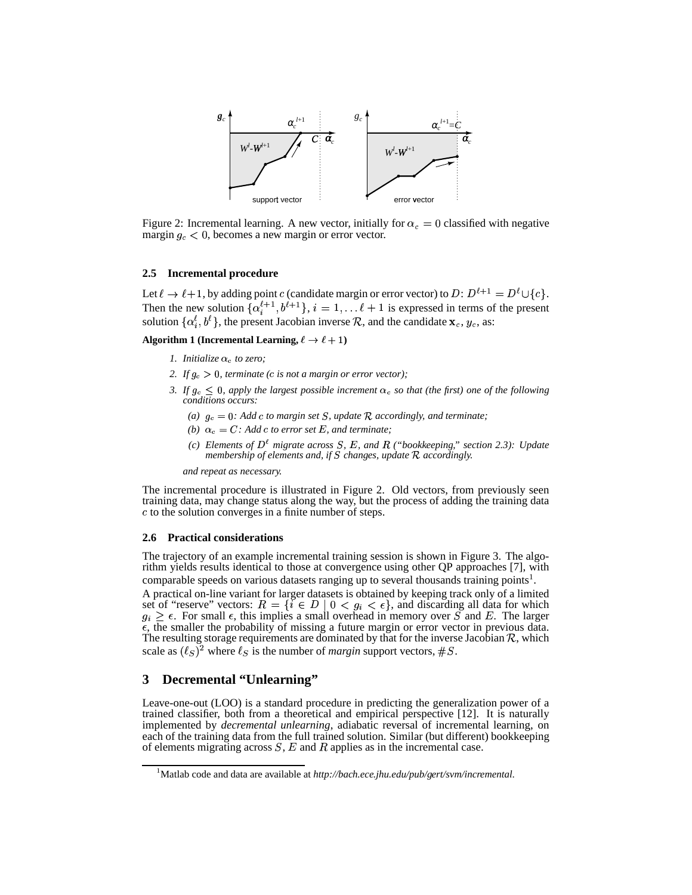

Figure 2: Incremental learning. A new vector, initially for  $\alpha_c = 0$  classified with negative margin  $g_c < 0$ , becomes a new margin or error vector.  $\epsilon$  < 0, becomes a new margin or error vector.

#### **2.5 Incremental procedure**

Let  $\ell \to \ell + 1$ , by adding point c (candidate margin or error vector) to D:  $D^{\ell+1} = D^{\ell} \cup \{c\}$ . Then the new solution  $\{\alpha_i^{\ell+1}, b^{\ell+1}\}\$ ,  $i = 1, \ldots \ell+1$  is expressed in terms of the present solution  $\{\alpha_i^{\ell}, b^{\ell}\}\$ , the present Jacobian inverse R, and the candidate  $\mathbf{x}_c, y_c$ , as:

**Algorithm 1** (**Incremental Learning,**  $\ell \to \ell + 1$ )

- *1. Initialize*  $\alpha_c$  *to zero;*
- 2. If  $g_c > 0$ , *terminate* (*c is not a margin or error vector*);
- *3. If*  $g_c \leq 0$ , apply the largest possible increment  $\alpha_c$  *so that* (the *first*) *one of* the *following conditions occurs:*
	- *(a)*  $g_c = 0$ : Add c to margin set *S*, update *R* accordingly, and terminate;
	- *(b)*  $\alpha_c = C$ : *Add c to error set*  $E$ *, and terminate;*
	- *(c) Elements* of  $D^{\ell}$  *migrate across S*, *E*, *and R ("bookkeeping," section* 2.3): *Update membership of elements and, if* ¡ *changes, update* <sup>Ê</sup> *accordingly.*

*and repeat as necessary.*

The incremental procedure is illustrated in Figure 2. Old vectors, from previously seen training data, may change status along the way, but the process of adding the training data  $c$  to the solution converges in a finite number of steps.

#### **2.6 Practical considerations**

The trajectory of an example incremental training session is shown in Figure 3. The algorithm yields results identical to those at convergence using other QP approaches [7], with comparable speeds on various datasets ranging up to several thousands training points<sup>1</sup>.

A practical on-line variant for larger datasets is obtained by keeping track only of a limited set of "reserve" vectors:  $R = \{i \in D \mid 0 < g_i < \epsilon\}$ , and c set of "reserve" vectors:  $R = \{i \in D \mid 0 \lt g_i \lt \epsilon\}$ , and discarding all data for which  $\kappa_i \geq \epsilon$ . For small  $\epsilon$ , this implies a small overhead in memory over S and E. The larger  $\epsilon$ , the smaller the probability of missing a future margin or error vector in previous data. The resulting storage requirements are dominated by that for the inverse Jacobian  $R$ , which scale as  $(\ell_S)^2$  where  $\ell_S$  is the number of *margin* support vectors, #S.

# **3 Decremental "Unlearning"**

Leave-one-out (LOO) is a standard procedure in predicting the generalization power of a trained classifier, both from a theoretical and empirical perspective [12]. It is naturally implemented by *decremental unlearning*, adiabatic reversal of incremental learning, on each of the training data from the full trained solution. Similar (but different) bookkeeping of elements migrating across  $S$ ,  $E$  and  $R$  applies as in the incremental case.

<sup>1</sup>Matlab code and data are available at *http://bach.ece.jhu.edu/pub/gert/svm/incremental*.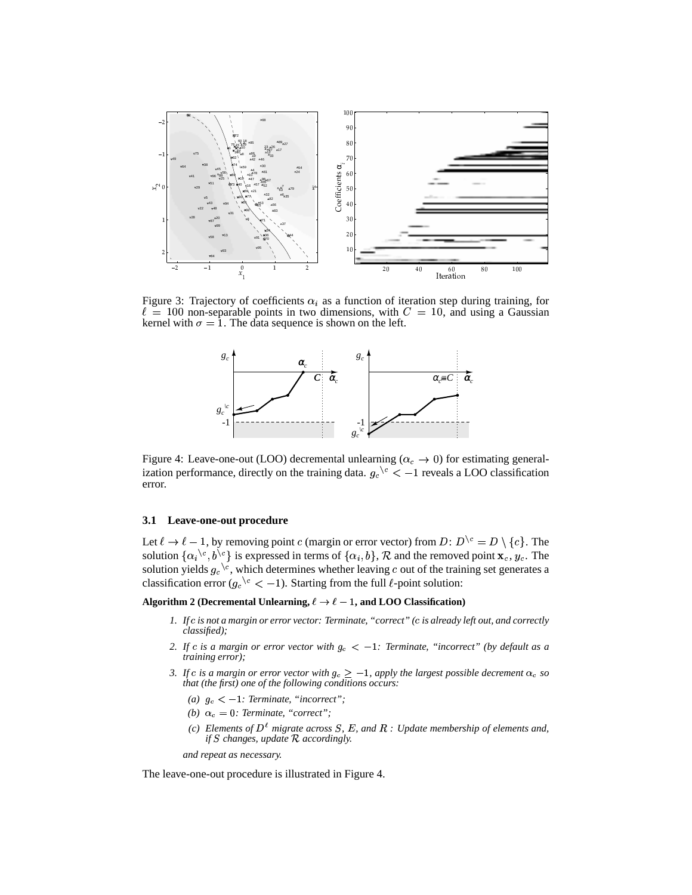

Figure 3: Trajectory of coefficients  $\alpha_i$  as a function of iteration step during training, for  $\ell = 100$  non-separable points in two dimensions, with  $C = 10$ , and using a Gaussian kernel with  $\sigma = 1$ . The data sequence is shown on the left.



Figure 4: Leave-one-out (LOO) decremental unlearning  $(\alpha_c \to 0)$  for estimating generalization performance, directly on the training data.  $g_c$ <sup>{c}</sup> < -1 reveals a LOO classification  $\int_{c}^{c}$  < -1 reveals a LOO classification error.

#### **3.1 Leave-one-out procedure**

Let  $\ell \to \ell - 1$ , by removing point c (margin or error vector) from D:  $D^{\setminus c} = D \setminus \{c\}$ . The solution  $\{\alpha_i^{\setminus c}, b^{\setminus c}\}$  is expressed in terms of  $\{\alpha_i, b\}$ ,  $\mathcal R$  and the removed point  $\mathbf x_c, y_c$ . The solution yields  $g_c^{\setminus c}$ , which determines whether leaving  $c$  out of the training set generates a classifi  $\epsilon^{e}$  < -1). Starting from the full  $\ell$ -point solution:

**Algorithm 2** (Decremental Unlearning,  $\ell \to \ell - 1$ , and LOO Classification)

- 1. If c is not a margin or error vector: Terminate, "correct" (c is already left out, and correctly *classified);*
- 2. If  $c$  is a margin or error vector with  $g_c < -1$ : Terminate, "incorrect" (by default as a *training error);*
- *3. If*  $c$  *is a margin or error vector with*  $g_c \geq -1$ *, apply the largest possible decrement*  $\alpha_c$  *so that (the first) one of the following conditions occurs:*
	- $(a)$   $g_c < -1$ : Terminate, "incorrect";
	- *(b)*  $\alpha_c = 0$ *: Terminate, "correct";*
	- *(c) Elements of*  $D^{\ell}$  *migrate across S*, *E*, *and R : Update membership of elements and*, *if*  $S$  *changes, update*  $R$  *accordingly.*

*and repeat as necessary.*

The leave-one-out procedure is illustrated in Figure 4.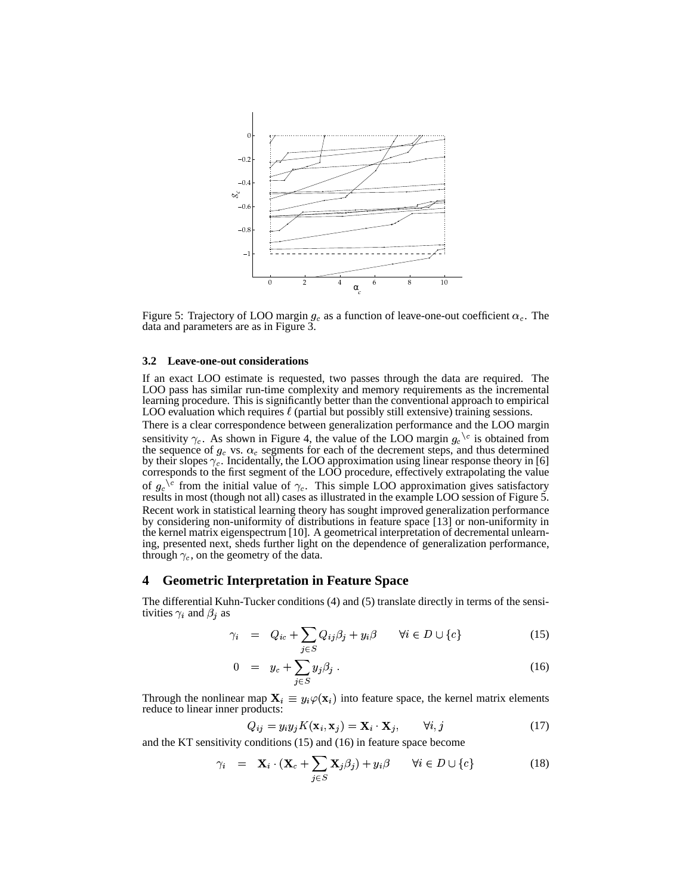

Figure 5: Trajectory of LOO margin  $g_c$  as a function of leave-one-out coefficient  $\alpha_c$ . The data and parameters are as in Figure 3.

#### **3.2 Leave-one-out considerations**

If an exact LOO estimate is requested, two passes through the data are required. The LOO pass has similar run-time complexity and memory requirements as the incremental learning procedure. This is significantly better than the conventional approach to empirical LOO evaluation which requires  $\ell$  (partial but possibly still extensive) training sessions.

There is a clear correspondence between generalization performance and the LOO margin There is a clear correspondence between generalization performance and the LOO margin sensitivity  $\gamma_c$ . As shown in Figure 4, the value of the LOO margin  $g_c^c$  is obtained from the sequence of  $g_c$  vs.  $\alpha_c$  segments fo the sequence of  $g_c$  vs.  $\alpha_c$  segments for each of the decrement steps, and thus determined by their slopes  $\gamma_c$ . Incidentally, the LOO approximation using linear response theory in [6] corresponds to the first segment of the LOO procedure, effectively extrapolating the value corresponds to the first segment of the LOO procedure, effectively extrapolating the value<br>of  $g_c$  from the initial value of  $\gamma_c$ . This simple LOO approximation gives satisfactory results in most (though not all) cases as illustrated in the example LOO session of Figure 5. Recent work in statistical learning theory has sought improved generalization performance by considering non-uniformity of distributions in feature space [13] or non-uniformity in the kernel matrix eigenspectrum [10]. A geometricalinterpretation of decremental unlearning, presented next, sheds further light on the dependence of generalization performance, through  $\gamma_c$ , on the geometry of the data.

## **4 Geometric Interpretation in Feature Space**

The differential Kuhn-Tucker conditions (4) and (5) translate directly in terms of the sensitivities  $\gamma_i$  and  $\beta_j$  as

$$
\gamma_i = Q_{ic} + \sum_{j \in S} Q_{ij} \beta_j + y_i \beta \qquad \forall i \in D \cup \{c\} \tag{15}
$$

$$
0 = y_c + \sum_{i \in S} y_j \beta_j \,. \tag{16}
$$

Through the nonlinear map  $X_i \equiv y_i \varphi(\mathbf{x}_i)$  into feature space, the kernel matrix elements reduce to linear inner products:

$$
Q_{ij} = y_i y_j K(\mathbf{x}_i, \mathbf{x}_j) = \mathbf{X}_i \cdot \mathbf{X}_j, \qquad \forall i, j
$$
 (17)

and the KT sensitivity conditions (15) and (16) in feature space become

$$
\gamma_i = \mathbf{X}_i \cdot (\mathbf{X}_c + \sum_{j \in S} \mathbf{X}_j \beta_j) + y_i \beta \qquad \forall i \in D \cup \{c\} \tag{18}
$$